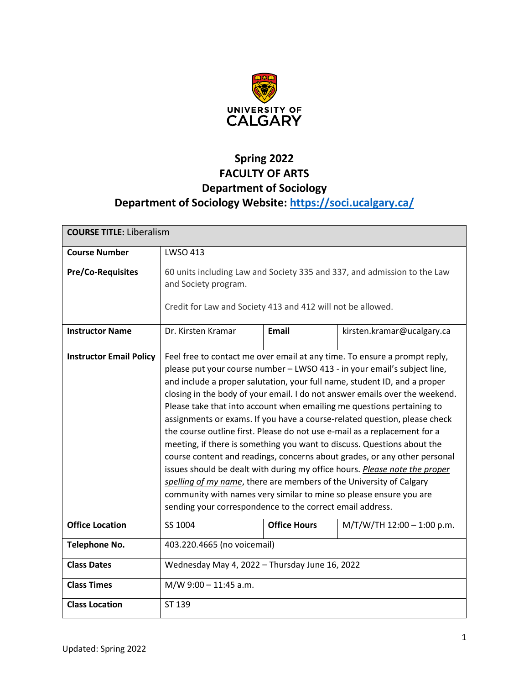

# **Spring 2022 FACULTY OF ARTS Department of Sociology Department of Sociology Website:<https://soci.ucalgary.ca/>**

| <b>COURSE TITLE: Liberalism</b> |                                                                                                                                                                                                                                                                                                                                                                                                                                                                                                                                                                                                                                                                                                                                                                                                                                                                                                                                                                                                       |                     |                            |  |  |
|---------------------------------|-------------------------------------------------------------------------------------------------------------------------------------------------------------------------------------------------------------------------------------------------------------------------------------------------------------------------------------------------------------------------------------------------------------------------------------------------------------------------------------------------------------------------------------------------------------------------------------------------------------------------------------------------------------------------------------------------------------------------------------------------------------------------------------------------------------------------------------------------------------------------------------------------------------------------------------------------------------------------------------------------------|---------------------|----------------------------|--|--|
| <b>Course Number</b>            | <b>LWSO 413</b>                                                                                                                                                                                                                                                                                                                                                                                                                                                                                                                                                                                                                                                                                                                                                                                                                                                                                                                                                                                       |                     |                            |  |  |
| <b>Pre/Co-Requisites</b>        | 60 units including Law and Society 335 and 337, and admission to the Law<br>and Society program.<br>Credit for Law and Society 413 and 412 will not be allowed.                                                                                                                                                                                                                                                                                                                                                                                                                                                                                                                                                                                                                                                                                                                                                                                                                                       |                     |                            |  |  |
| <b>Instructor Name</b>          | Dr. Kirsten Kramar                                                                                                                                                                                                                                                                                                                                                                                                                                                                                                                                                                                                                                                                                                                                                                                                                                                                                                                                                                                    | <b>Email</b>        | kirsten.kramar@ucalgary.ca |  |  |
| <b>Instructor Email Policy</b>  | Feel free to contact me over email at any time. To ensure a prompt reply,<br>please put your course number - LWSO 413 - in your email's subject line,<br>and include a proper salutation, your full name, student ID, and a proper<br>closing in the body of your email. I do not answer emails over the weekend.<br>Please take that into account when emailing me questions pertaining to<br>assignments or exams. If you have a course-related question, please check<br>the course outline first. Please do not use e-mail as a replacement for a<br>meeting, if there is something you want to discuss. Questions about the<br>course content and readings, concerns about grades, or any other personal<br>issues should be dealt with during my office hours. Please note the proper<br>spelling of my name, there are members of the University of Calgary<br>community with names very similar to mine so please ensure you are<br>sending your correspondence to the correct email address. |                     |                            |  |  |
| <b>Office Location</b>          | SS 1004                                                                                                                                                                                                                                                                                                                                                                                                                                                                                                                                                                                                                                                                                                                                                                                                                                                                                                                                                                                               | <b>Office Hours</b> | M/T/W/TH 12:00 - 1:00 p.m. |  |  |
| <b>Telephone No.</b>            | 403.220.4665 (no voicemail)                                                                                                                                                                                                                                                                                                                                                                                                                                                                                                                                                                                                                                                                                                                                                                                                                                                                                                                                                                           |                     |                            |  |  |
| <b>Class Dates</b>              | Wednesday May 4, 2022 - Thursday June 16, 2022                                                                                                                                                                                                                                                                                                                                                                                                                                                                                                                                                                                                                                                                                                                                                                                                                                                                                                                                                        |                     |                            |  |  |
| <b>Class Times</b>              | M/W 9:00 - 11:45 a.m.                                                                                                                                                                                                                                                                                                                                                                                                                                                                                                                                                                                                                                                                                                                                                                                                                                                                                                                                                                                 |                     |                            |  |  |
| <b>Class Location</b>           | ST 139                                                                                                                                                                                                                                                                                                                                                                                                                                                                                                                                                                                                                                                                                                                                                                                                                                                                                                                                                                                                |                     |                            |  |  |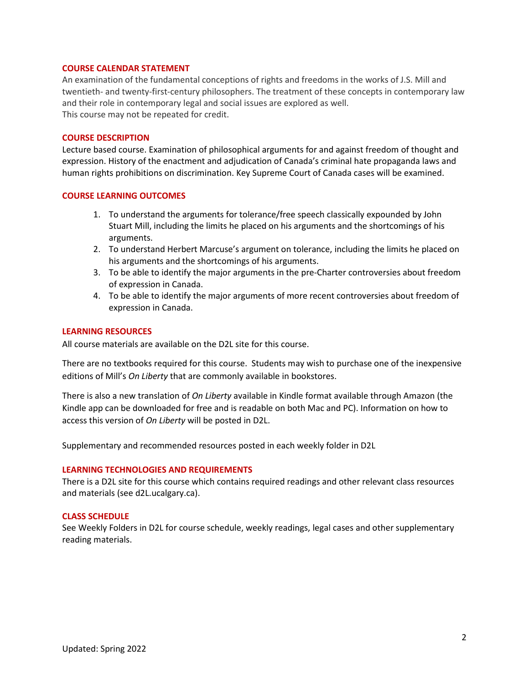#### **COURSE CALENDAR STATEMENT**

An examination of the fundamental conceptions of rights and freedoms in the works of J.S. Mill and twentieth- and twenty-first-century philosophers. The treatment of these concepts in contemporary law and their role in contemporary legal and social issues are explored as well. This course may not be repeated for credit.

## **COURSE DESCRIPTION**

Lecture based course. Examination of philosophical arguments for and against freedom of thought and expression. History of the enactment and adjudication of Canada's criminal hate propaganda laws and human rights prohibitions on discrimination. Key Supreme Court of Canada cases will be examined.

#### **COURSE LEARNING OUTCOMES**

- 1. To understand the arguments for tolerance/free speech classically expounded by John Stuart Mill, including the limits he placed on his arguments and the shortcomings of his arguments.
- 2. To understand Herbert Marcuse's argument on tolerance, including the limits he placed on his arguments and the shortcomings of his arguments.
- 3. To be able to identify the major arguments in the pre-Charter controversies about freedom of expression in Canada.
- 4. To be able to identify the major arguments of more recent controversies about freedom of expression in Canada.

#### **LEARNING RESOURCES**

All course materials are available on the D2L site for this course.

There are no textbooks required for this course. Students may wish to purchase one of the inexpensive editions of Mill's *On Liberty* that are commonly available in bookstores.

There is also a new translation of *On Liberty* available in Kindle format available through Amazon (the Kindle app can be downloaded for free and is readable on both Mac and PC). Information on how to access this version of *On Liberty* will be posted in D2L.

Supplementary and recommended resources posted in each weekly folder in D2L

#### **LEARNING TECHNOLOGIES AND REQUIREMENTS**

There is a D2L site for this course which contains required readings and other relevant class resources and materials (see d2L.ucalgary.ca).

## **CLASS SCHEDULE**

See Weekly Folders in D2L for course schedule, weekly readings, legal cases and other supplementary reading materials.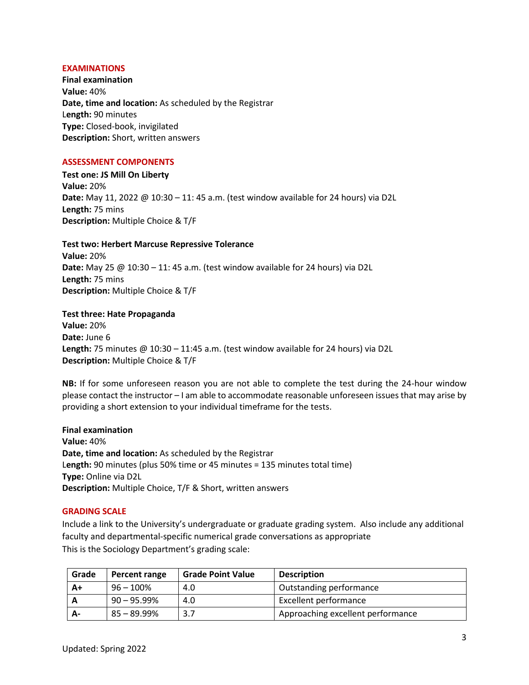## **EXAMINATIONS**

**Final examination Value:** 40% **Date, time and location:** As scheduled by the Registrar L**ength:** 90 minutes **Type:** Closed-book, invigilated **Description:** Short, written answers

## **ASSESSMENT COMPONENTS**

**Test one: JS Mill On Liberty Value:** 20% **Date:** May 11, 2022 @ 10:30 – 11: 45 a.m. (test window available for 24 hours) via D2L **Length:** 75 mins **Description:** Multiple Choice & T/F

# **Test two: Herbert Marcuse Repressive Tolerance**

**Value:** 20% **Date:** May 25 @ 10:30 – 11: 45 a.m. (test window available for 24 hours) via D2L **Length:** 75 mins **Description:** Multiple Choice & T/F

# **Test three: Hate Propaganda**

**Value:** 20% **Date:** June 6 **Length:** 75 minutes @ 10:30 – 11:45 a.m. (test window available for 24 hours) via D2L **Description:** Multiple Choice & T/F

**NB:** If for some unforeseen reason you are not able to complete the test during the 24-hour window please contact the instructor – I am able to accommodate reasonable unforeseen issues that may arise by providing a short extension to your individual timeframe for the tests.

**Final examination Value:** 40% **Date, time and location:** As scheduled by the Registrar L**ength:** 90 minutes (plus 50% time or 45 minutes = 135 minutes total time) **Type:** Online via D2L **Description:** Multiple Choice, T/F & Short, written answers

## **GRADING SCALE**

Include a link to the University's undergraduate or graduate grading system. Also include any additional faculty and departmental-specific numerical grade conversations as appropriate This is the Sociology Department's grading scale:

| Grade | Percent range | <b>Grade Point Value</b> | <b>Description</b>                |
|-------|---------------|--------------------------|-----------------------------------|
| $A+$  | $96 - 100\%$  | 4.0                      | Outstanding performance           |
|       | 90 – 95.99%   | 4.0                      | <b>Excellent performance</b>      |
| А-    | 85 – 89.99%   | 3.7                      | Approaching excellent performance |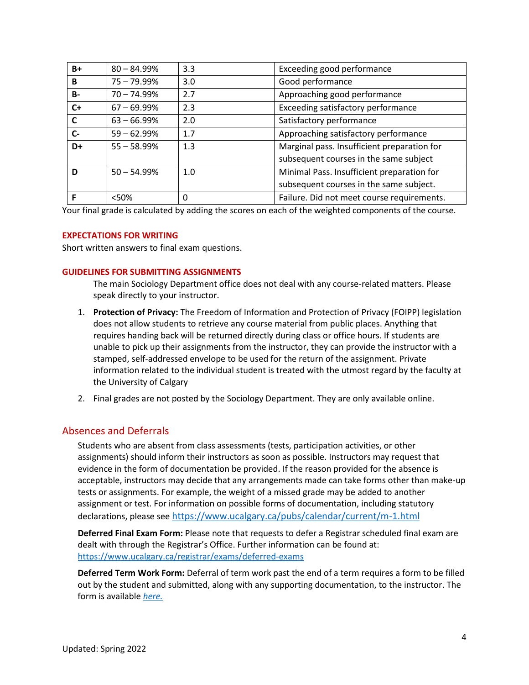| B+        | $80 - 84.99\%$ | 3.3 | Exceeding good performance                  |
|-----------|----------------|-----|---------------------------------------------|
| B         | $75 - 79.99%$  | 3.0 | Good performance                            |
| <b>B-</b> | $70 - 74.99\%$ | 2.7 | Approaching good performance                |
| $C+$      | $67 - 69.99\%$ | 2.3 | Exceeding satisfactory performance          |
| C         | $63 - 66.99\%$ | 2.0 | Satisfactory performance                    |
| $C-$      | $59 - 62.99%$  | 1.7 | Approaching satisfactory performance        |
| D+        | $55 - 58.99\%$ | 1.3 | Marginal pass. Insufficient preparation for |
|           |                |     | subsequent courses in the same subject      |
| D         | $50 - 54.99%$  | 1.0 | Minimal Pass. Insufficient preparation for  |
|           |                |     | subsequent courses in the same subject.     |
|           | < 50%          | 0   | Failure. Did not meet course requirements.  |

Your final grade is calculated by adding the scores on each of the weighted components of the course.

#### **EXPECTATIONS FOR WRITING**

Short written answers to final exam questions.

#### **GUIDELINES FOR SUBMITTING ASSIGNMENTS**

The main Sociology Department office does not deal with any course-related matters. Please speak directly to your instructor.

- 1. **Protection of Privacy:** The Freedom of Information and Protection of Privacy (FOIPP) legislation does not allow students to retrieve any course material from public places. Anything that requires handing back will be returned directly during class or office hours. If students are unable to pick up their assignments from the instructor, they can provide the instructor with a stamped, self-addressed envelope to be used for the return of the assignment. Private information related to the individual student is treated with the utmost regard by the faculty at the University of Calgary
- 2. Final grades are not posted by the Sociology Department. They are only available online.

# Absences and Deferrals

Students who are absent from class assessments (tests, participation activities, or other assignments) should inform their instructors as soon as possible. Instructors may request that evidence in the form of documentation be provided. If the reason provided for the absence is acceptable, instructors may decide that any arrangements made can take forms other than make-up tests or assignments. For example, the weight of a missed grade may be added to another assignment or test. For information on possible forms of documentation, including statutory declarations, please see <https://www.ucalgary.ca/pubs/calendar/current/m-1.html>

**Deferred Final Exam Form:** Please note that requests to defer a Registrar scheduled final exam are dealt with through the Registrar's Office. Further information can be found at: <https://www.ucalgary.ca/registrar/exams/deferred-exams>

**Deferred Term Work Form:** Deferral of term work past the end of a term requires a form to be filled out by the student and submitted, along with any supporting documentation, to the instructor. The form is available *[here.](https://www.ucalgary.ca/registrar/student-centre/student-forms)*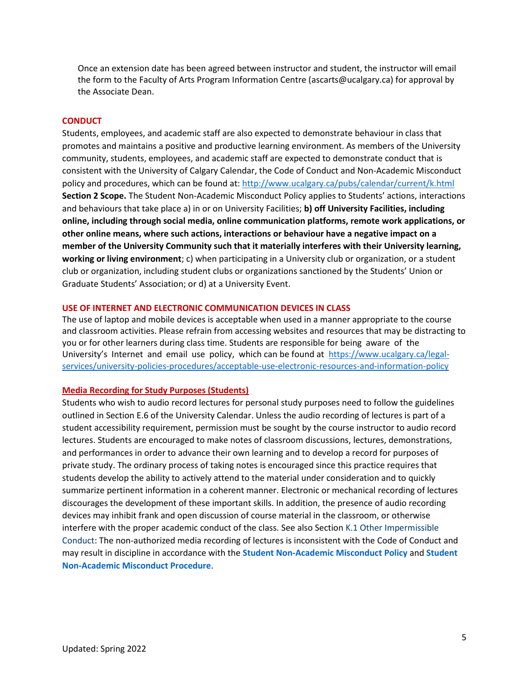Once an extension date has been agreed between instructor and student, the instructor will email the form to the Faculty of Arts Program Information Centre (ascarts@ucalgary.ca) for approval by the Associate Dean.

#### **CONDUCT**

Students, employees, and academic staff are also expected to demonstrate behaviour in class that promotes and maintains a positive and productive learning environment. As members of the University community, students, employees, and academic staff are expected to demonstrate conduct that is consistent with the University of Calgary Calendar, the Code of Conduct and Non-Academic Misconduct policy and procedures, which can be found at:<http://www.ucalgary.ca/pubs/calendar/current/k.html> **Section 2 Scope.** The Student Non-Academic Misconduct Policy applies to Students' actions, interactions and behaviours that take place a) in or on University Facilities; **b) off University Facilities, including online, including through social media, online communication platforms, remote work applications, or other online means, where such actions, interactions or behaviour have a negative impact on a member of the University Community such that it materially interferes with their University learning, working or living environment**; c) when participating in a University club or organization, or a student club or organization, including student clubs or organizations sanctioned by the Students' Union or Graduate Students' Association; or d) at a University Event.

#### **USE OF INTERNET AND ELECTRONIC COMMUNICATION DEVICES IN CLASS**

The use of laptop and mobile devices is acceptable when used in a manner appropriate to the course and classroom activities. Please refrain from accessing websites and resources that may be distracting to you or for other learners during class time. Students are responsible for being aware of the University's Internet and email use policy, which can be found at [https://www.ucalgary.ca/legal](https://www.ucalgary.ca/legal-services/university-policies-procedures/acceptable-use-electronic-resources-and-information-policy)[services/university-policies-procedures/acceptable-use-electronic-resources-and-information-policy](https://www.ucalgary.ca/legal-services/university-policies-procedures/acceptable-use-electronic-resources-and-information-policy)

## **Media Recording for Study Purposes (Students)**

Students who wish to audio record lectures for personal study purposes need to follow the guidelines outlined i[n Section E.6 of the University Calendar.](https://www.ucalgary.ca/pubs/calendar/current/e-6.html) Unless the audio recording of lectures is part of a student accessibility requirement, permission must be sought by the course instructor to audio record lectures. Students are encouraged to make notes of classroom discussions, lectures, demonstrations, and performances in order to advance their own learning and to develop a record for purposes of private study. The ordinary process of taking notes is encouraged since this practice requires that students develop the ability to actively attend to the material under consideration and to quickly summarize pertinent information in a coherent manner. Electronic or mechanical recording of lectures discourages the development of these important skills. In addition, the presence of audio recording devices may inhibit frank and open discussion of course material in the classroom, or otherwise interfere with the proper academic conduct of the class. See also Section K.1 Other Impermissible Conduct: The non-authorized media recording of lectures is inconsistent with the Code of Conduct and may result in discipline in accordance with the **[Student Non-Academic Misconduct Policy](https://www.ucalgary.ca/legal-services/university-policies-procedures/student-non-academic-misconduct-policy)** and **[Student](https://www.ucalgary.ca/legal-services/university-policies-procedures/student-non-academic-misconduct-procedure)  [Non-Academic Misconduct Procedure](https://www.ucalgary.ca/legal-services/university-policies-procedures/student-non-academic-misconduct-procedure)**.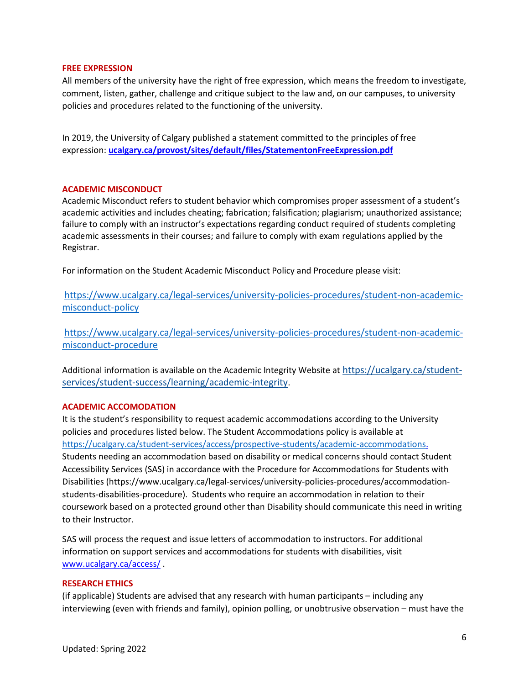#### **FREE EXPRESSION**

All members of the university have the right of free expression, which means the freedom to investigate, comment, listen, gather, challenge and critique subject to the law and, on our campuses, to university policies and procedures related to the functioning of the university.

In 2019, the University of Calgary published a statement committed to the principles of free expression: **[ucalgary.ca/provost/sites/default/files/StatementonFreeExpression.pdf](https://www.ucalgary.ca/provost/sites/default/files/StatementonFreeExpression.pdf)**

## **ACADEMIC MISCONDUCT**

Academic Misconduct refers to student behavior which compromises proper assessment of a student's academic activities and includes cheating; fabrication; falsification; plagiarism; unauthorized assistance; failure to comply with an instructor's expectations regarding conduct required of students completing academic assessments in their courses; and failure to comply with exam regulations applied by the Registrar.

For information on the Student Academic Misconduct Policy and Procedure please visit:

[https://www.ucalgary.ca/legal-services/university-policies-procedures/student-non-academic](https://www.ucalgary.ca/legal-services/university-policies-procedures/student-non-academic-misconduct-policy)[misconduct-policy](https://www.ucalgary.ca/legal-services/university-policies-procedures/student-non-academic-misconduct-policy)

[https://www.ucalgary.ca/legal-services/university-policies-procedures/student-non-academic](https://www.ucalgary.ca/legal-services/university-policies-procedures/student-non-academic-misconduct-procedure)[misconduct-procedure](https://www.ucalgary.ca/legal-services/university-policies-procedures/student-non-academic-misconduct-procedure)

Additional information is available on the Academic Integrity Website at [https://ucalgary.ca/student](https://ucalgary.ca/student-services/student-success/learning/academic-integrity)[services/student-success/learning/academic-integrity](https://ucalgary.ca/student-services/student-success/learning/academic-integrity).

#### **ACADEMIC ACCOMODATION**

It is the student's responsibility to request academic accommodations according to the University policies and procedures listed below. The Student Accommodations policy is available at [https://ucalgary.ca/student-services/access/prospective-students/academic-accommodations.](https://ucalgary.ca/student-services/access/prospective-students/academic-accommodations) Students needing an accommodation based on disability or medical concerns should contact Student Accessibility Services (SAS) in accordance with the Procedure for Accommodations for Students with Disabilities (https://www.ucalgary.ca/legal-services/university-policies-procedures/accommodationstudents-disabilities-procedure). Students who require an accommodation in relation to their coursework based on a protected ground other than Disability should communicate this need in writing to their Instructor.

SAS will process the request and issue letters of accommodation to instructors. For additional information on support services and accommodations for students with disabilities, visit [www.ucalgary.ca/access/](http://www.ucalgary.ca/access/) .

#### **RESEARCH ETHICS**

(if applicable) Students are advised that any research with human participants – including any interviewing (even with friends and family), opinion polling, or unobtrusive observation – must have the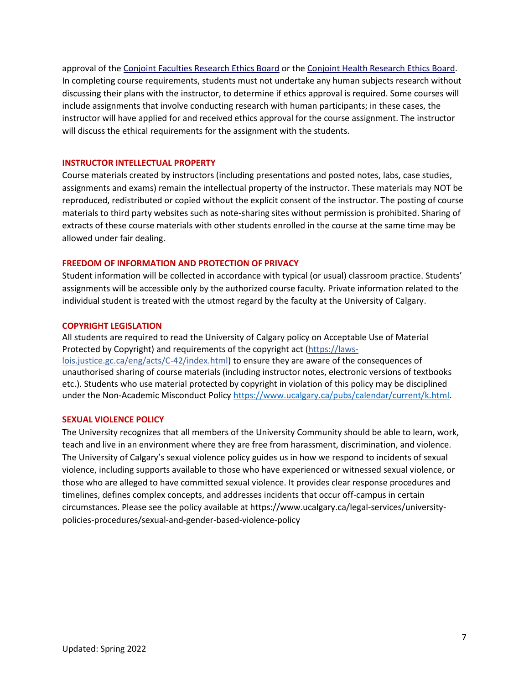approval of the [Conjoint Faculties Research Ethics Board](https://research.ucalgary.ca/conduct-research/ethics-compliance/human-research-ethics/conjoint-faculties-research-ethics-board) or the [Conjoint Health Research Ethics Board.](https://research.ucalgary.ca/conduct-research/ethics-compliance/human-research-ethics/conjoint-health-research-ethics-board) In completing course requirements, students must not undertake any human subjects research without discussing their plans with the instructor, to determine if ethics approval is required. Some courses will include assignments that involve conducting research with human participants; in these cases, the instructor will have applied for and received ethics approval for the course assignment. The instructor will discuss the ethical requirements for the assignment with the students.

#### **INSTRUCTOR INTELLECTUAL PROPERTY**

Course materials created by instructors (including presentations and posted notes, labs, case studies, assignments and exams) remain the intellectual property of the instructor. These materials may NOT be reproduced, redistributed or copied without the explicit consent of the instructor. The posting of course materials to third party websites such as note-sharing sites without permission is prohibited. Sharing of extracts of these course materials with other students enrolled in the course at the same time may be allowed under fair dealing.

#### **FREEDOM OF INFORMATION AND PROTECTION OF PRIVACY**

Student information will be collected in accordance with typical (or usual) classroom practice. Students' assignments will be accessible only by the authorized course faculty. Private information related to the individual student is treated with the utmost regard by the faculty at the University of Calgary.

#### **COPYRIGHT LEGISLATION**

All students are required to read the University of Calgary policy on Acceptable Use of Material Protected by Copyright) and requirements of the copyright act (https://lawslois.justice.gc.ca/eng/acts/C-42/index.html) to ensure they are aware of the consequences of unauthorised sharing of course materials (including instructor notes, electronic versions of textbooks etc.). Students who use material protected by copyright in violation of this policy may be disciplined under the Non-Academic Misconduct Policy [https://www.ucalgary.ca/pubs/calendar/current/k.html.](https://www.ucalgary.ca/pubs/calendar/current/k.html)

#### **SEXUAL VIOLENCE POLICY**

The University recognizes that all members of the University Community should be able to learn, work, teach and live in an environment where they are free from harassment, discrimination, and violence. The University of Calgary's sexual violence policy guides us in how we respond to incidents of sexual violence, including supports available to those who have experienced or witnessed sexual violence, or those who are alleged to have committed sexual violence. It provides clear response procedures and timelines, defines complex concepts, and addresses incidents that occur off-campus in certain circumstances. Please see the policy available at https://www.ucalgary.ca/legal-services/universitypolicies-procedures/sexual-and-gender-based-violence-policy